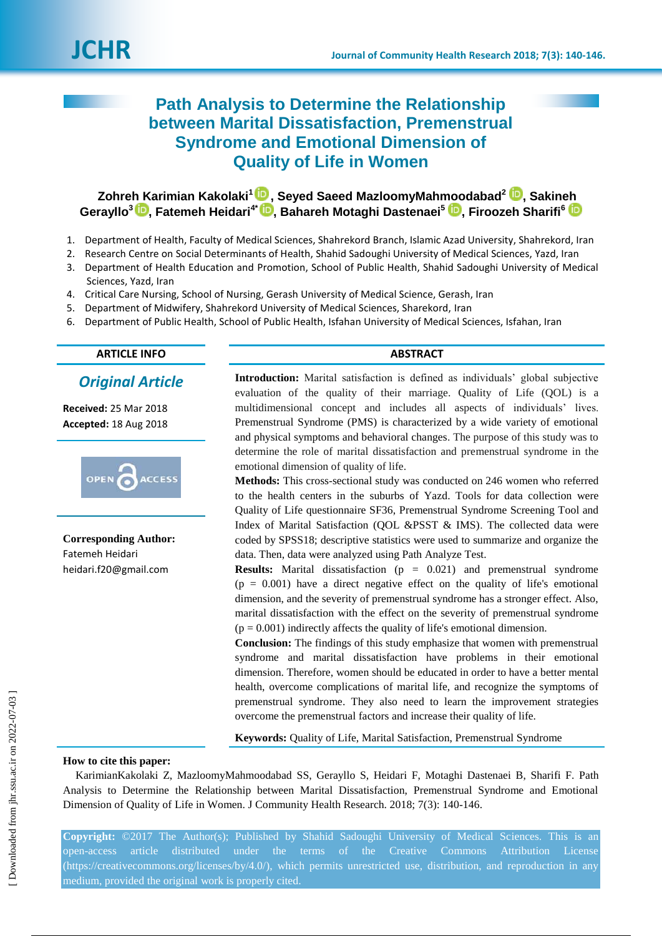# **Path Analysis to Determine the Relationship between Marital Dissatisfaction, Premenstrual Syndrome and Emotional Dimension of Quality of Life in Women**

# **Zohreh Karimian Kakolaki 1 [,](https://orcid.org/0000-0002-5946-0955) Seyed Saeed MazloomyMahmoodabad<sup>2</sup> [,](https://orcid.org/0000-0002-3301-3305) Sakineh Gerayllo<sup>3</sup> [,](https://orcid.org/0000-0003-4590-2529) Fatemeh Heidari4\* [,](https://orcid.org/0000-0001-8880-1467) Bahareh Motaghi Dastenaei<sup>5</sup> [,](https://orcid.org/0000-0001-7142-0887) Firoozeh Sharifi<sup>6</sup>**

- 1. Department of Health, Faculty of Medical Sciences, Shahrekord Branch, Islamic Azad University, Shahrekord, Iran
- 2. Research Centre on Social Determinants of Health, Shahid Sadoughi University of Medical Sciences, Yazd, Iran
- 3. Department of Health Education and Promotion, School of Public Health, Shahid Sadoughi University of Medical Sciences, Yazd, Iran
- 4. Critical Care Nursing, School of Nursing, Gerash University of Medical Science, Gerash, Iran
- 5. Department of Midwifery, Shahrekord University of Medical Sciences, Sharekord, Iran
- 6. Department of Public Health, School of Public Health, Isfahan University of Medical Sciences, Isfahan, Iran

# **ARTICLE INFO ABSTRACT**

*Original Article*

**Received:** 25 Mar 2018 **Accepted:** 18 Aug 2018



**Corresponding Author:** Fatemeh Heidari [heidari.f20@gmail.com](mailto:heidari.f20@gmail.com)

**Introduction:** Marital satisfaction is defined as individuals' global subjective evaluation of the quality of their marriage. Quality of Life (QOL) is a multidimensional concept and includes all aspects of individuals' lives. Premenstrual Syndrome (PMS) is characterized by a wide variety of emotional and physical symptoms and behavioral changes. The purpose of this study was to determine the role of marital dissatisfaction and premenstrual syndrome in the emotional dimension of quality of life.

**Methods:** This cross-sectional study was conducted on 246 women who referred to the health centers in the suburbs of Yazd. Tools for data collection were Quality of Life questionnaire SF36, Premenstrual Syndrome Screening Tool and Index of Marital Satisfaction (QOL &PSST & IMS). The collected data were coded by SPSS18; descriptive statistics were used to summarize and organize the data. Then, data were analyzed using Path Analyze Test.

**Results:** Marital dissatisfaction (p = 0.021) and premenstrual syndrome  $(p = 0.001)$  have a direct negative effect on the quality of life's emotional dimension, and the severity of premenstrual syndrome has a stronger effect. Also, marital dissatisfaction with the effect on the severity of premenstrual syndrome  $(p = 0.001)$  indirectly affects the quality of life's emotional dimension.

**Conclusion:** The findings of this study emphasize that women with premenstrual syndrome and marital dissatisfaction have problems in their emotional dimension. Therefore, women should be educated in order to have a better mental health, overcome complications of marital life, and recognize the symptoms of premenstrual syndrome. They also need to learn the improvement strategies overcome the premenstrual factors and increase their quality of life.

**Keywords:** Quality of Life, Marital Satisfaction, Premenstrual Syndrome

# **How to cite this paper:**

KarimianKakolaki Z, MazloomyMahmoodabad SS, Gerayllo S, Heidari F, Motaghi Dastenaei B, Sharifi F. Path Analysis to Determine the Relationship between Marital Dissatisfaction, Premenstrual Syndrome and Emotional Dimension of Quality of Life in Women. J Community Health Research. 2018; 7(3): 140-146.

**Copyright:** ©2017 The Author(s); Published by Shahid Sadoughi University of Medical Sciences. This is an open-access article distributed under the terms of the Creative Commons Attribution License [\(https://creativecommons.org/licenses/by/4.0/\)](https://creativecommons.org/licenses/by/4.0/), which permits unrestricted use, distribution, and reproduction in any medium, provided the original work is properly cited.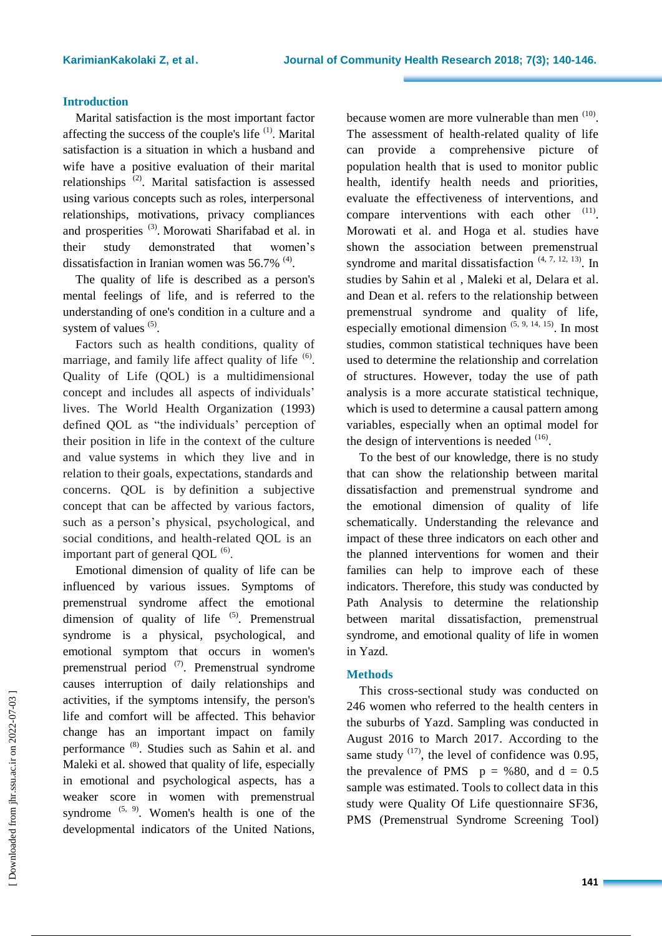## **Introduction**

Marital satisfaction is the most important factor affecting the success of the couple's life <sup>(1)</sup>. Marital satisfaction is a situation in which a husband and wife have a positive evaluation of their marital relationships<sup>(2)</sup>. Marital satisfaction is assessed using various concepts such as roles, interpersonal relationships, motivations, privacy compliances and prosperities<sup>(3)</sup>. Morowati Sharifabad et al. in their study demonstrated that women's dissatisfaction in Iranian women was  $56.7\%$ <sup>(4)</sup>.

The quality of life is described as a person's mental feelings of life, and is referred to the understanding of one's condition in a culture and a system of values  $(5)$ .

Factors such as health conditions, quality of marriage, and family life affect quality of life  $(6)$ . Quality of Life (QOL) is a multidimensional concept and includes all aspects of individuals' lives. The World Health Organization (1993) defined QOL as "the individuals' perception of their position in life in the context of the culture and value systems in which they live and in relation to their goals, expectations, standards and concerns. QOL is by definition a subjective concept that can be affected by various factors, such as a person's physical, psychological, and social conditions, and health-related QOL is an important part of general QOL $^{(6)}$ .

Emotional dimension of quality of life can be influenced by various issues. Symptoms of premenstrual syndrome affect the emotional dimension of quality of life  $(5)$ . Premenstrual syndrome is a physical, psychological, and emotional symptom that occurs in women's premenstrual period<sup>(7)</sup>. Premenstrual syndrome causes interruption of daily relationships and activities, if the symptoms intensify, the person's life and comfort will be affected. This behavior change has an important impact on family performance<sup>(8)</sup>. Studies such as Sahin et al. and Maleki et al. showed that quality of life, especially in emotional and psychological aspects, has a weaker score in women with premenstrual syndrome  $(5, 9)$ . Women's health is one of the developmental indicators of the United Nations,

because women are more vulnerable than men  $(10)$ . The assessment of health-related quality of life can provide a comprehensive picture of population health that is used to monitor public health, identify health needs and priorities, evaluate the effectiveness of interventions, and compare interventions with each other  $(11)$ . Morowati et al. and Hoga et al. studies have shown the association between premenstrual syndrome and marital dissatisfaction  $(4, 7, 12, 13)$ . In studies by Sahin et al , Maleki et al, Delara et al. and Dean et al. refers to the relationship between premenstrual syndrome and quality of life, especially emotional dimension  $(5, 9, 14, 15)$ . In most studies, common statistical techniques have been used to determine the relationship and correlation of structures. However, today the use of path analysis is a more accurate statistical technique, which is used to determine a causal pattern among variables, especially when an optimal model for the design of interventions is needed  $(16)$ .

To the best of our knowledge, there is no study that can show the relationship between marital dissatisfaction and premenstrual syndrome and the emotional dimension of quality of life schematically. Understanding the relevance and impact of these three indicators on each other and the planned interventions for women and their families can help to improve each of these indicators. Therefore, this study was conducted by Path Analysis to determine the relationship between marital dissatisfaction, premenstrual syndrome, and emotional quality of life in women in Yazd.

## **Methods**

This cross-sectional study was conducted on 246 women who referred to the health centers in the suburbs of Yazd. Sampling was conducted in August 2016 to March 2017. According to the same study  $(17)$ , the level of confidence was 0.95, the prevalence of PMS  $p = \% 80$ , and  $d = 0.5$ sample was estimated. Tools to collect data in this study were Quality Of Life questionnaire SF36, PMS (Premenstrual Syndrome Screening Tool)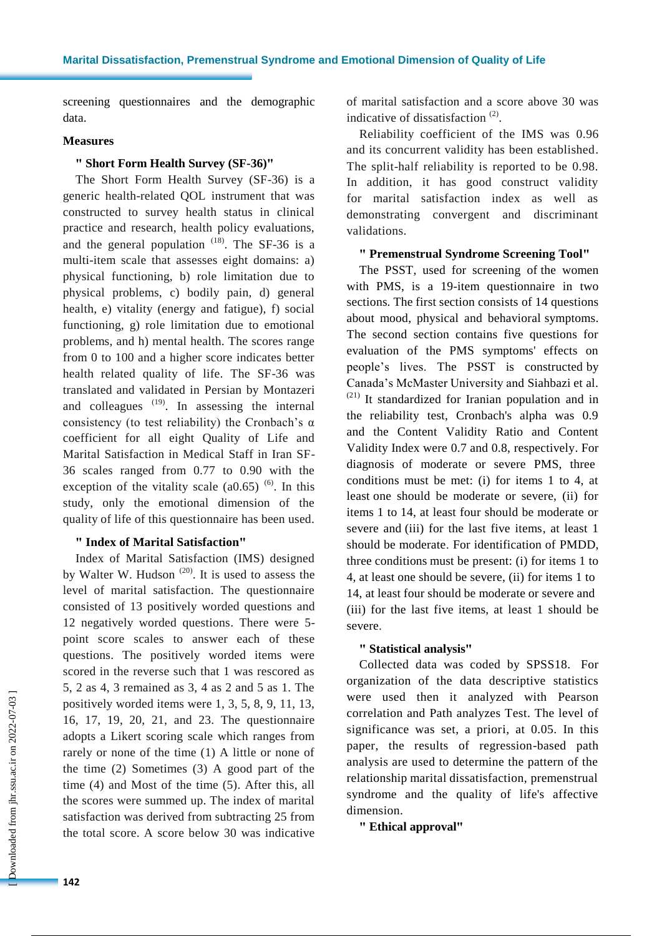screening questionnaires and the demographic data.

## **Measures**

# **" Short Form Health Survey (SF-36)"**

The Short Form Health Survey (SF-36) is a generic health-related QOL instrument that was constructed to survey health status in clinical practice and research, health policy evaluations, and the general population  $(18)$ . The SF-36 is a multi-item scale that assesses eight domains: a) physical functioning, b) role limitation due to physical problems, c) bodily pain, d) general health, e) vitality (energy and fatigue), f) social functioning, g) role limitation due to emotional problems, and h) mental health. The scores range from 0 to 100 and a higher score indicates better health related quality of life. The SF-36 was translated and validated in Persian by Montazeri and colleagues  $(19)$ . In assessing the internal consistency (to test reliability) the Cronbach's  $\alpha$ coefficient for all eight Quality of Life and Marital Satisfaction in Medical Staff in Iran SF-36 scales ranged from 0.77 to 0.90 with the exception of the vitality scale  $(a0.65)$ <sup> $(6)$ </sup>. In this study, only the emotional dimension of the quality of life of this questionnaire has been used.

## **" Index of Marital Satisfaction"**

Index of Marital Satisfaction (IMS) designed by Walter W. Hudson  $(20)$ . It is used to assess the level of marital satisfaction. The questionnaire consisted of 13 positively worded questions and 12 negatively worded questions. There were 5 point score scales to answer each of these questions. The positively worded items were scored in the reverse such that 1 was rescored as 5, 2 as 4, 3 remained as 3, 4 as 2 and 5 as 1. The positively worded items were 1, 3, 5, 8, 9, 11, 13, 16, 17, 19, 20, 21, and 23. The questionnaire adopts a Likert scoring scale which ranges from rarely or none of the time (1) A little or none of the time (2) Sometimes (3) A good part of the time (4) and Most of the time (5). After this, all the scores were summed up. The index of marital satisfaction was derived from subtracting 25 from the total score. A score below 30 was indicative

of marital satisfaction and a score above 30 was indicative of dissatisfaction  $(2)$ .

Reliability coefficient of the IMS was 0.96 and its concurrent validity has been established. The split-half reliability is reported to be 0.98. In addition, it has good construct validity for marital satisfaction index as well as demonstrating convergent and discriminant validations.

# **" Premenstrual Syndrome Screening Tool"**

The PSST, used for screening of the women with PMS, is a 19-item questionnaire in two sections. The first section consists of 14 questions about mood, physical and behavioral symptoms. The second section contains five questions for evaluation of the PMS symptoms' effects on people's lives. The PSST is constructed by Canada's McMaster University and Siahbazi et al. (21) It standardized for Iranian population and in the reliability test, Cronbach's alpha was 0.9 and the Content Validity Ratio and Content Validity Index were 0.7 and 0.8, respectively. For diagnosis of moderate or severe PMS, three conditions must be met: (i) for items 1 to 4, at least one should be moderate or severe, (ii) for items 1 to 14, at least four should be moderate or severe and (iii) for the last five items, at least 1 should be moderate. For identification of PMDD, three conditions must be present: (i) for items 1 to 4, at least one should be severe, (ii) for items 1 to 14, at least four should be moderate or severe and (iii) for the last five items, at least 1 should be severe.

#### **" Statistical analysis"**

Collected data was coded by SPSS18. For organization of the data descriptive statistics were used then it analyzed with Pearson correlation and Path analyzes Test. The level of significance was set, a priori, at 0.05. In this paper, the results of regression-based path analysis are used to determine the pattern of the relationship marital dissatisfaction, premenstrual syndrome and the quality of life's affective dimension.

**" Ethical approval"**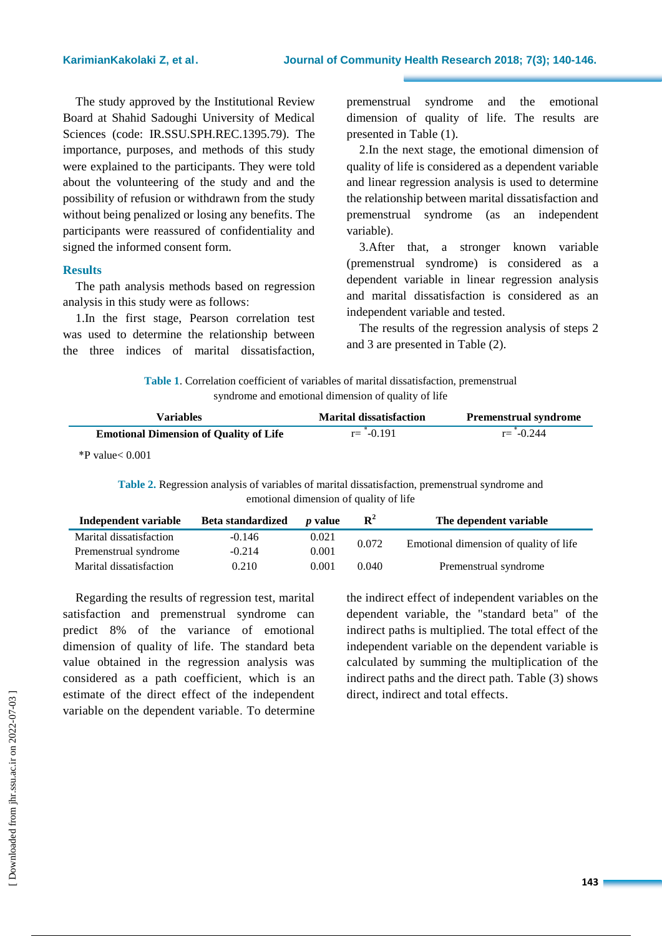The study approved by the Institutional Review Board at Shahid Sadoughi University of Medical Sciences (code: IR.SSU.SPH.REC.1395.79). The importance, purposes, and methods of this study were explained to the participants. They were told about the volunteering of the study and and the possibility of refusion or withdrawn from the study without being penalized or losing any benefits. The participants were reassured of confidentiality and signed the informed consent form.

#### **Results**

The path analysis methods based on regression analysis in this study were as follows:

1.In the first stage, Pearson correlation test was used to determine the relationship between the three indices of marital dissatisfaction, premenstrual syndrome and the emotional dimension of quality of life. The results are presented in Table (1).

2.In the next stage, the emotional dimension of quality of life is considered as a dependent variable and linear regression analysis is used to determine the relationship between marital dissatisfaction and premenstrual syndrome (as an independent variable).

3.After that, a stronger known variable (premenstrual syndrome) is considered as a dependent variable in linear regression analysis and marital dissatisfaction is considered as an independent variable and tested.

The results of the regression analysis of steps 2 and 3 are presented in Table (2).

**Table 1**. Correlation coefficient of variables of marital dissatisfaction, premenstrual syndrome and emotional dimension of quality of life

| Variables                                     | <b>Marital dissatisfaction</b> | <b>Premenstrual syndrome</b> |
|-----------------------------------------------|--------------------------------|------------------------------|
| <b>Emotional Dimension of Quality of Life</b> | $r = -0.191$                   | $r = -0.244$                 |

\*P value< 0.001

**Table 2.** Regression analysis of variables of marital dissatisfaction, premenstrual syndrome and emotional dimension of quality of life

| Independent variable    | Beta standardized | <i>v</i> value | ${\bf R}^2$ | The dependent variable                 |
|-------------------------|-------------------|----------------|-------------|----------------------------------------|
| Marital dissatisfaction | $-0.146$          | 0.021          | 0.072       | Emotional dimension of quality of life |
| Premenstrual syndrome   | $-0.214$          | 0.001          |             |                                        |
| Marital dissatisfaction | 0.210             | 0.001          | 0.040       | Premenstrual syndrome                  |

Regarding the results of regression test, marital satisfaction and premenstrual syndrome can predict 8% of the variance of emotional dimension of quality of life. The standard beta value obtained in the regression analysis was considered as a path coefficient, which is an estimate of the direct effect of the independent variable on the dependent variable. To determine the indirect effect of independent variables on the dependent variable, the "standard beta" of the indirect paths is multiplied. The total effect of the independent variable on the dependent variable is calculated by summing the multiplication of the indirect paths and the direct path. Table (3) shows direct, indirect and total effects.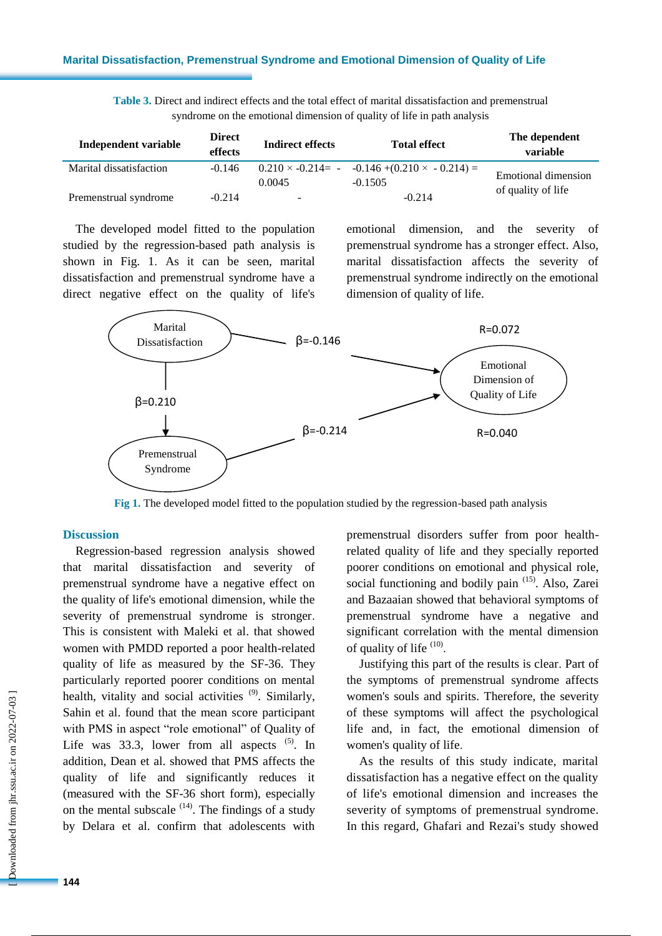| <b>Table 3.</b> Direct and indirect effects and the total effect of marital dissatisfaction and premenstrual |  |  |  |  |
|--------------------------------------------------------------------------------------------------------------|--|--|--|--|
| syndrome on the emotional dimension of quality of life in path analysis                                      |  |  |  |  |

| Independent variable    | <b>Direct</b><br>effects | <b>Indirect effects</b> | <b>Total effect</b>                                                   | The dependent<br>variable  |  |
|-------------------------|--------------------------|-------------------------|-----------------------------------------------------------------------|----------------------------|--|
| Marital dissatisfaction | $-0.146$                 | 0.0045                  | $0.210 \times -0.214 = -0.146 + (0.210 \times -0.214) =$<br>$-0.1505$ | <b>Emotional dimension</b> |  |
| Premenstrual syndrome   | $-0.214$                 | -                       | $-0.214$                                                              | of quality of life         |  |

The developed model fitted to the population studied by the regression-based path analysis is shown in Fig. 1. As it can be seen, marital dissatisfaction and premenstrual syndrome have a direct negative effect on the quality of life's emotional dimension, and the severity of premenstrual syndrome has a stronger effect. Also, marital dissatisfaction affects the severity of premenstrual syndrome indirectly on the emotional dimension of quality of life.



**Fig 1.** The developed model fitted to the population studied by the regression-based path analysis

#### **Discussion**

Regression-based regression analysis showed that marital dissatisfaction and severity of premenstrual syndrome have a negative effect on the quality of life's emotional dimension, while the severity of premenstrual syndrome is stronger. This is consistent with Maleki et al. that showed women with PMDD reported a poor health-related quality of life as measured by the SF-36. They particularly reported poorer conditions on mental health, vitality and social activities <sup>(9)</sup>. Similarly, Sahin et al. found that the mean score participant with PMS in aspect "role emotional" of Quality of Life was  $33.3$ , lower from all aspects  $(5)$ . In addition, Dean et al. showed that PMS affects the quality of life and significantly reduces it (measured with the SF-36 short form), especially on the mental subscale  $(14)$ . The findings of a study by Delara et al. confirm that adolescents with

premenstrual disorders suffer from poor healthrelated quality of life and they specially reported poorer conditions on emotional and physical role, social functioning and bodily pain <sup>(15)</sup>. Also, Zarei and Bazaaian showed that behavioral symptoms of premenstrual syndrome have a negative and significant correlation with the mental dimension of quality of life  $(10)$ .

Justifying this part of the results is clear. Part of the symptoms of premenstrual syndrome affects women's souls and spirits. Therefore, the severity of these symptoms will affect the psychological life and, in fact, the emotional dimension of women's quality of life.

As the results of this study indicate, marital dissatisfaction has a negative effect on the quality of life's emotional dimension and increases the severity of symptoms of premenstrual syndrome. In this regard, Ghafari and Rezai's study showed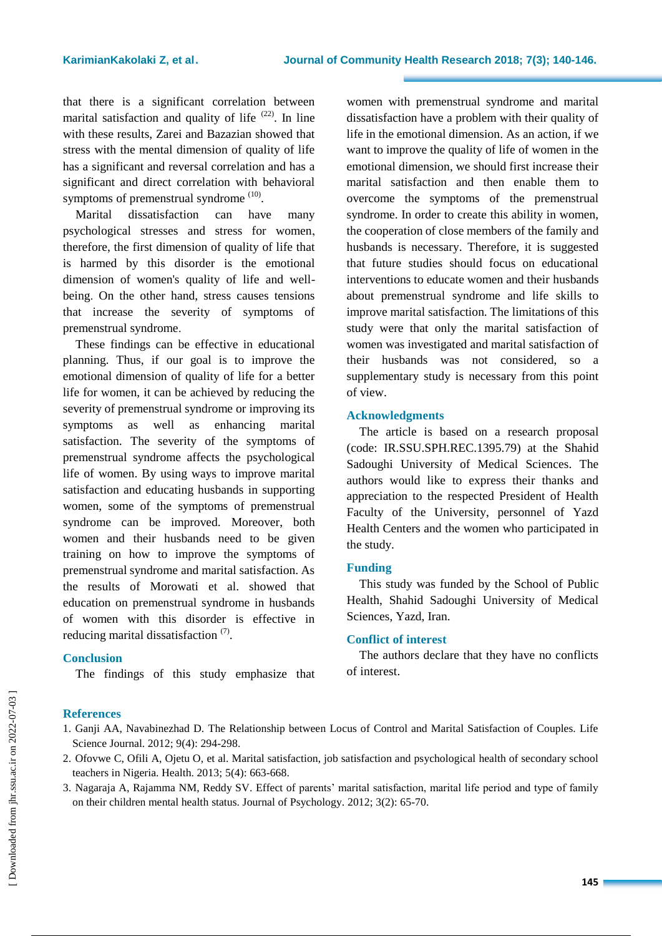that there is a significant correlation between marital satisfaction and quality of life  $(22)$ . In line with these results, Zarei and Bazazian showed that stress with the mental dimension of quality of life has a significant and reversal correlation and has a significant and direct correlation with behavioral symptoms of premenstrual syndrome  $(10)$ .

Marital dissatisfaction can have many psychological stresses and stress for women, therefore, the first dimension of quality of life that is harmed by this disorder is the emotional dimension of women's quality of life and wellbeing. On the other hand, stress causes tensions that increase the severity of symptoms of premenstrual syndrome.

These findings can be effective in educational planning. Thus, if our goal is to improve the emotional dimension of quality of life for a better life for women, it can be achieved by reducing the severity of premenstrual syndrome or improving its symptoms as well as enhancing marital satisfaction. The severity of the symptoms of premenstrual syndrome affects the psychological life of women. By using ways to improve marital satisfaction and educating husbands in supporting women, some of the symptoms of premenstrual syndrome can be improved. Moreover, both women and their husbands need to be given training on how to improve the symptoms of premenstrual syndrome and marital satisfaction. As the results of Morowati et al. showed that education on premenstrual syndrome in husbands of women with this disorder is effective in reducing marital dissatisfaction<sup>(7)</sup>.

#### **Conclusion**

The findings of this study emphasize that

women with premenstrual syndrome and marital dissatisfaction have a problem with their quality of life in the emotional dimension. As an action, if we want to improve the quality of life of women in the emotional dimension, we should first increase their marital satisfaction and then enable them to overcome the symptoms of the premenstrual syndrome. In order to create this ability in women, the cooperation of close members of the family and husbands is necessary. Therefore, it is suggested that future studies should focus on educational interventions to educate women and their husbands about premenstrual syndrome and life skills to improve marital satisfaction. The limitations of this study were that only the marital satisfaction of women was investigated and marital satisfaction of their husbands was not considered, so a supplementary study is necessary from this point of view.

# **Acknowledgments**

The article is based on a research proposal (code: IR.SSU.SPH.REC.1395.79) at the Shahid Sadoughi University of Medical Sciences. The authors would like to express their thanks and appreciation to the respected President of Health Faculty of the University, personnel of Yazd Health Centers and the women who participated in the study.

#### **Funding**

This study was funded by the School of Public Health, Shahid Sadoughi University of Medical Sciences, Yazd, Iran.

#### **Conflict of interest**

The authors declare that they have no conflicts of interest.

# **References**

- 1. Ganji AA, Navabinezhad D. The Relationship between Locus of Control and Marital Satisfaction of Couples. Life Science Journal. 2012; 9(4): 294-298.
- 2. Ofovwe C, Ofili A, Ojetu O, et al. Marital satisfaction, job satisfaction and psychological health of secondary school teachers in Nigeria. Health. 2013; 5(4): 663-668.
- 3. Nagaraja A, Rajamma NM, Reddy SV. Effect of parents' marital satisfaction, marital life period and type of family on their children mental health status. Journal of Psychology. 2012; 3(2): 65-70.